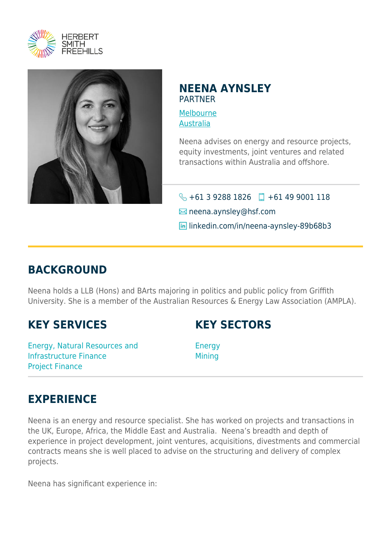



## **NEENA AYNSLEY** PARTNER

[Melbourne](https://www.herbertsmithfreehills.com/where-we-work/melbourne) [Australia](https://www.herbertsmithfreehills.com/where-we-work/australia)

Neena advises on energy and resource projects, equity investments, joint ventures and related transactions within Australia and offshore.

 $\bigodot$  +61 3 9288 1826 +61 49 9001 118 **Example neena.aynsley@hsf.com in** linkedin.com/in/neena-aynsley-89b68b3

## **BACKGROUND**

Neena holds a LLB (Hons) and BArts majoring in politics and public policy from Griffith University. She is a member of the Australian Resources & Energy Law Association (AMPLA).

## **KEY SERVICES**

Energy, Natural Resources and Infrastructure Finance Project Finance

**KEY SECTORS**

Energy **Mining** 

## **EXPERIENCE**

Neena is an energy and resource specialist. She has worked on projects and transactions in the UK, Europe, Africa, the Middle East and Australia. Neena's breadth and depth of experience in project development, joint ventures, acquisitions, divestments and commercial contracts means she is well placed to advise on the structuring and delivery of complex projects.

Neena has significant experience in: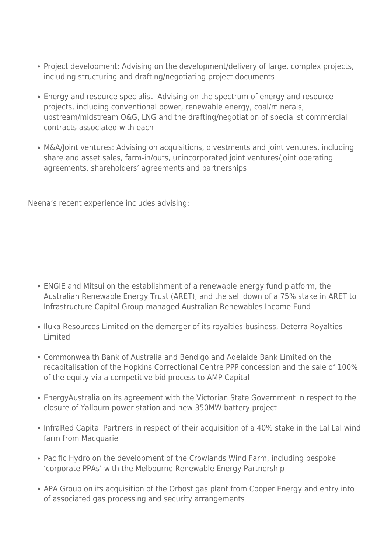- Project development: Advising on the development/delivery of large, complex projects, including structuring and drafting/negotiating project documents
- Energy and resource specialist: Advising on the spectrum of energy and resource projects, including conventional power, renewable energy, coal/minerals, upstream/midstream O&G, LNG and the drafting/negotiation of specialist commercial contracts associated with each
- M&A/Joint ventures: Advising on acquisitions, divestments and joint ventures, including share and asset sales, farm-in/outs, unincorporated joint ventures/joint operating agreements, shareholders' agreements and partnerships

Neena's recent experience includes advising:

- ENGIE and Mitsui on the establishment of a renewable energy fund platform, the Australian Renewable Energy Trust (ARET), and the sell down of a 75% stake in ARET to Infrastructure Capital Group-managed Australian Renewables Income Fund
- Iluka Resources Limited on the demerger of its royalties business, Deterra Royalties Limited
- Commonwealth Bank of Australia and Bendigo and Adelaide Bank Limited on the recapitalisation of the Hopkins Correctional Centre PPP concession and the sale of 100% of the equity via a competitive bid process to AMP Capital
- EnergyAustralia on its agreement with the Victorian State Government in respect to the closure of Yallourn power station and new 350MW battery project
- InfraRed Capital Partners in respect of their acquisition of a 40% stake in the Lal Lal wind farm from Macquarie
- Pacific Hydro on the development of the Crowlands Wind Farm, including bespoke 'corporate PPAs' with the Melbourne Renewable Energy Partnership
- APA Group on its acquisition of the Orbost gas plant from Cooper Energy and entry into of associated gas processing and security arrangements